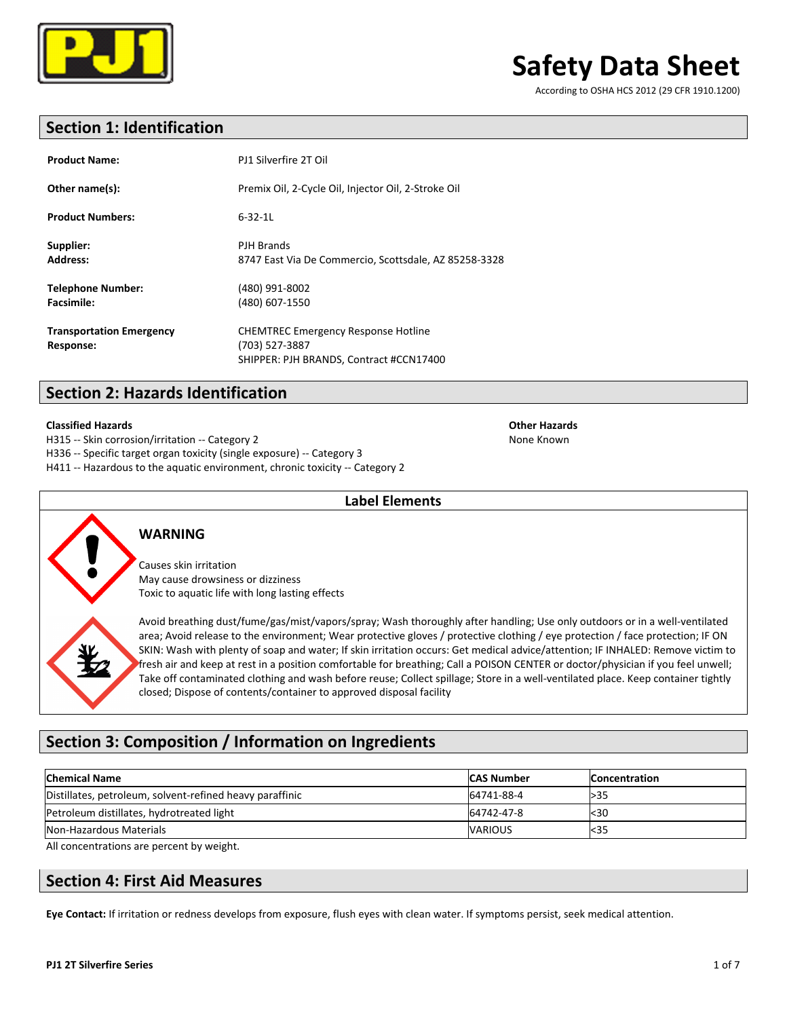

According to OSHA HCS 2012 (29 CFR 1910.1200)

## **Section 1: Identification**

| <b>Product Name:</b>                          | PJ1 Silverfire 2T Oil                                                                                   |
|-----------------------------------------------|---------------------------------------------------------------------------------------------------------|
| Other name(s):                                | Premix Oil, 2-Cycle Oil, Injector Oil, 2-Stroke Oil                                                     |
| <b>Product Numbers:</b>                       | $6 - 32 - 11$                                                                                           |
| Supplier:<br><b>Address:</b>                  | PJH Brands<br>8747 East Via De Commercio, Scottsdale, AZ 85258-3328                                     |
| <b>Telephone Number:</b><br><b>Facsimile:</b> | (480) 991-8002<br>(480) 607-1550                                                                        |
| <b>Transportation Emergency</b><br>Response:  | <b>CHEMTREC Emergency Response Hotline</b><br>(703) 527-3887<br>SHIPPER: PJH BRANDS, Contract #CCN17400 |

## **Section 2: Hazards Identification**

### **Classified Hazards Other Hazards**

H315 -- Skin corrosion/irritation -- Category 2 None Known

H336 -- Specific target organ toxicity (single exposure) -- Category 3

H411 -- Hazardous to the aquatic environment, chronic toxicity -- Category 2



### **WARNING**

Causes skin irritation May cause drowsiness or dizziness Toxic to aquatic life with long lasting effects

Avoid breathing dust/fume/gas/mist/vapors/spray; Wash thoroughly after handling; Use only outdoors or in a well-ventilated area; Avoid release to the environment; Wear protective gloves / protective clothing / eye protection / face protection; IF ON SKIN: Wash with plenty of soap and water; If skin irritation occurs: Get medical advice/attention; IF INHALED: Remove victim to fresh air and keep at rest in a position comfortable for breathing; Call a POISON CENTER or doctor/physician if you feel unwell; Take off contaminated clothing and wash before reuse; Collect spillage; Store in a well-ventilated place. Keep container tightly closed; Dispose of contents/container to approved disposal facility

## **Section 3: Composition / Information on Ingredients**

| <b>Chemical Name</b>                                     | <b>CAS Number</b> | <b>Concentration</b> |
|----------------------------------------------------------|-------------------|----------------------|
| Distillates, petroleum, solvent-refined heavy paraffinic | 64741-88-4        | >35                  |
| Petroleum distillates, hydrotreated light                | 64742-47-8        | <30                  |
| Non-Hazardous Materials                                  | <b>VARIOUS</b>    | $35$                 |

**Label Elements**

All concentrations are percent by weight.

### **Section 4: First Aid Measures**

Eye Contact: If irritation or redness develops from exposure, flush eyes with clean water. If symptoms persist, seek medical attention.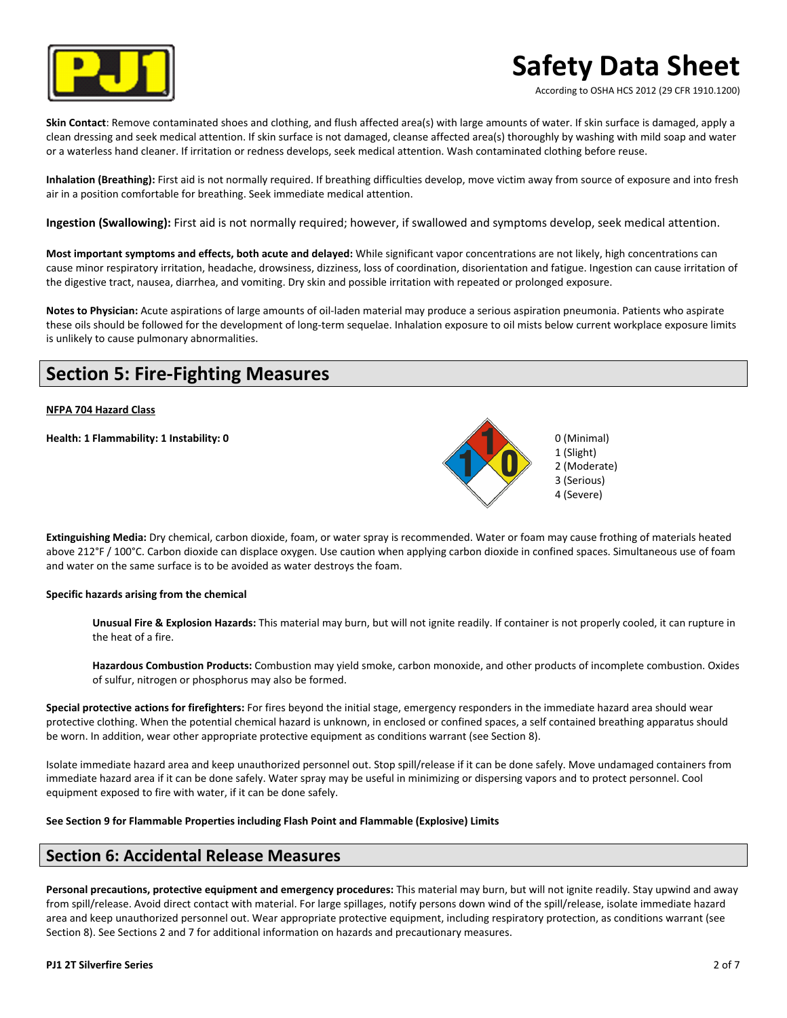

According to OSHA HCS 2012 (29 CFR 1910.1200)

**Skin Contact**: Remove contaminated shoes and clothing, and flush affected area(s) with large amounts of water. If skin surface is damaged, apply a clean dressing and seek medical attention. If skin surface is not damaged, cleanse affected area(s) thoroughly by washing with mild soap and water or a waterless hand cleaner. If irritation or redness develops, seek medical attention. Wash contaminated clothing before reuse.

**Inhalation (Breathing):** First aid is not normally required. If breathing difficulties develop, move victim away from source of exposure and into fresh air in a position comfortable for breathing. Seek immediate medical attention.

**Ingestion (Swallowing):** First aid is not normally required; however, if swallowed and symptoms develop, seek medical attention.

Most important symptoms and effects, both acute and delayed: While significant vapor concentrations are not likely, high concentrations can cause minor respiratory irritation, headache, drowsiness, dizziness, loss of coordination, disorientation and fatigue. Ingestion can cause irritation of the digestive tract, nausea, diarrhea, and vomiting. Dry skin and possible irritation with repeated or prolonged exposure.

Notes to Physician: Acute aspirations of large amounts of oil-laden material may produce a serious aspiration pneumonia. Patients who aspirate these oils should be followed for the development of long-term sequelae. Inhalation exposure to oil mists below current workplace exposure limits is unlikely to cause pulmonary abnormalities.

## **Section 5: Fire-Fighting Measures**

### **NFPA 704 Hazard Class**

**Health: 1 Flammability: 1 Instability: 0 Discussed Alternative Controllering Controllering Controllering Controllering Controllering Controllering Controllering Controllering Controllering Controllering Controllering Co** 



Extinguishing Media: Dry chemical, carbon dioxide, foam, or water spray is recommended. Water or foam may cause frothing of materials heated above 212°F / 100°C. Carbon dioxide can displace oxygen. Use caution when applying carbon dioxide in confined spaces. Simultaneous use of foam and water on the same surface is to be avoided as water destroys the foam.

### Specific hazards arising from the chemical

Unusual Fire & Explosion Hazards: This material may burn, but will not ignite readily. If container is not properly cooled, it can rupture in the heat of a fire.

Hazardous Combustion Products: Combustion may yield smoke, carbon monoxide, and other products of incomplete combustion. Oxides of sulfur, nitrogen or phosphorus may also be formed.

Special protective actions for firefighters: For fires beyond the initial stage, emergency responders in the immediate hazard area should wear protective clothing. When the potential chemical hazard is unknown, in enclosed or confined spaces, a self contained breathing apparatus should be worn. In addition, wear other appropriate protective equipment as conditions warrant (see Section 8).

Isolate immediate hazard area and keep unauthorized personnel out. Stop spill/release if it can be done safely. Move undamaged containers from immediate hazard area if it can be done safely. Water spray may be useful in minimizing or dispersing vapors and to protect personnel. Cool equipment exposed to fire with water, if it can be done safely.

### See Section 9 for Flammable Properties including Flash Point and Flammable (Explosive) Limits

### **Section 6: Accidental Release Measures**

Personal precautions, protective equipment and emergency procedures: This material may burn, but will not ignite readily. Stay upwind and away from spill/release. Avoid direct contact with material. For large spillages, notify persons down wind of the spill/release, isolate immediate hazard area and keep unauthorized personnel out. Wear appropriate protective equipment, including respiratory protection, as conditions warrant (see Section 8). See Sections 2 and 7 for additional information on hazards and precautionary measures.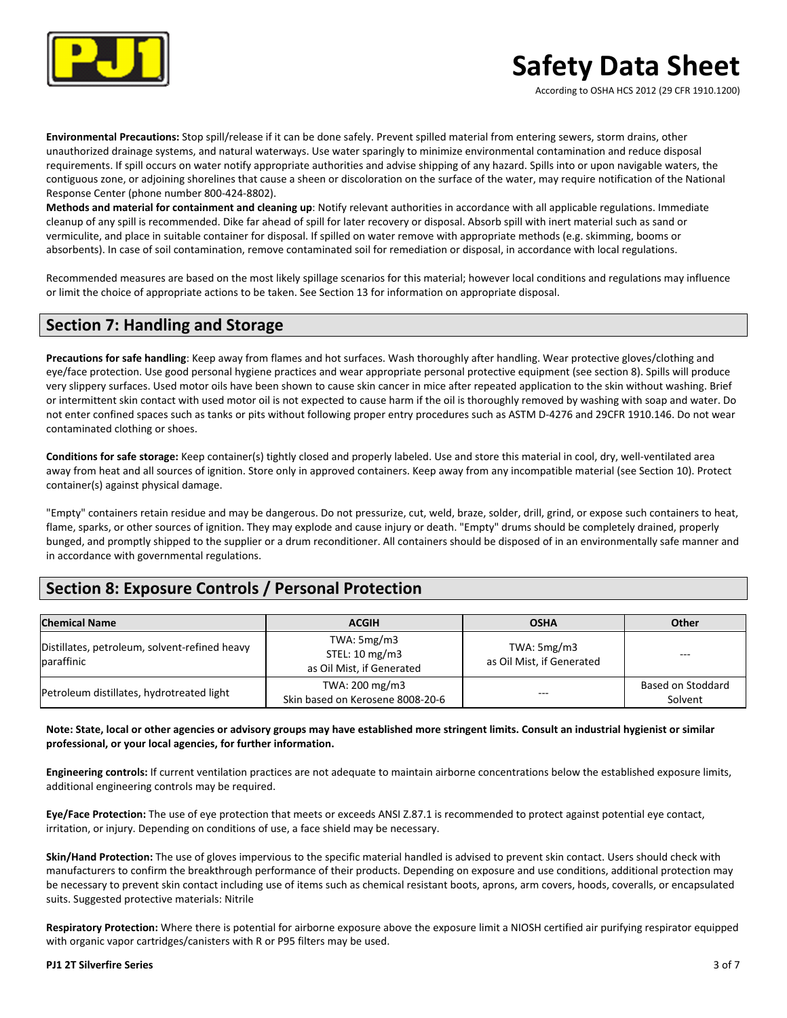

According to OSHA HCS 2012 (29 CFR 1910.1200)

**Environmental Precautions:** Stop spill/release if it can be done safely. Prevent spilled material from entering sewers, storm drains, other unauthorized drainage systems, and natural waterways. Use water sparingly to minimize environmental contamination and reduce disposal requirements. If spill occurs on water notify appropriate authorities and advise shipping of any hazard. Spills into or upon navigable waters, the contiguous zone, or adjoining shorelines that cause a sheen or discoloration on the surface of the water, may require notification of the National Response Center (phone number 800-424-8802).

**Methods and material for containment and cleaning up**: Notify relevant authorities in accordance with all applicable regulations. Immediate cleanup of any spill is recommended. Dike far ahead of spill for later recovery or disposal. Absorb spill with inert material such as sand or vermiculite, and place in suitable container for disposal. If spilled on water remove with appropriate methods (e.g. skimming, booms or absorbents). In case of soil contamination, remove contaminated soil for remediation or disposal, in accordance with local regulations.

Recommended measures are based on the most likely spillage scenarios for this material; however local conditions and regulations may influence or limit the choice of appropriate actions to be taken. See Section 13 for information on appropriate disposal.

### **Section 7: Handling and Storage**

Precautions for safe handling: Keep away from flames and hot surfaces. Wash thoroughly after handling. Wear protective gloves/clothing and eye/face protection. Use good personal hygiene practices and wear appropriate personal protective equipment (see section 8). Spills will produce very slippery surfaces. Used motor oils have been shown to cause skin cancer in mice after repeated application to the skin without washing. Brief or intermittent skin contact with used motor oil is not expected to cause harm if the oil is thoroughly removed by washing with soap and water. Do not enter confined spaces such as tanks or pits without following proper entry procedures such as ASTM D-4276 and 29CFR 1910.146. Do not wear contaminated clothing or shoes.

**Conditions for safe storage:** Keep container(s) tightly closed and properly labeled. Use and store this material in cool, dry, well-ventilated area away from heat and all sources of ignition. Store only in approved containers. Keep away from any incompatible material (see Section 10). Protect container(s) against physical damage.

"Empty" containers retain residue and may be dangerous. Do not pressurize, cut, weld, braze, solder, drill, grind, or expose such containers to heat, flame, sparks, or other sources of ignition. They may explode and cause injury or death. "Empty" drums should be completely drained, properly bunged, and promptly shipped to the supplier or a drum reconditioner. All containers should be disposed of in an environmentally safe manner and in accordance with governmental regulations.

## **Section 8: Exposure Controls / Personal Protection**

| <b>Chemical Name</b>                                        | <b>ACGIH</b>                                                 | <b>OSHA</b>                                | Other                        |
|-------------------------------------------------------------|--------------------------------------------------------------|--------------------------------------------|------------------------------|
| Distillates, petroleum, solvent-refined heavy<br>paraffinic | TWA: $5mg/m3$<br>STEL: 10 mg/m3<br>as Oil Mist, if Generated | TWA: $5mg/m3$<br>as Oil Mist, if Generated | $- - -$                      |
| Petroleum distillates, hydrotreated light                   | TWA: 200 mg/m3<br>Skin based on Kerosene 8008-20-6           | $- - -$                                    | Based on Stoddard<br>Solvent |

Note: State, local or other agencies or advisory groups may have established more stringent limits. Consult an industrial hygienist or similar professional, or your local agencies, for further information.

**Engineering controls:** If current ventilation practices are not adequate to maintain airborne concentrations below the established exposure limits, additional engineering controls may be required.

Eye/Face Protection: The use of eye protection that meets or exceeds ANSI Z.87.1 is recommended to protect against potential eye contact, irritation, or injury. Depending on conditions of use, a face shield may be necessary.

**Skin/Hand Protection:** The use of gloves impervious to the specific material handled is advised to prevent skin contact. Users should check with manufacturers to confirm the breakthrough performance of their products. Depending on exposure and use conditions, additional protection may be necessary to prevent skin contact including use of items such as chemical resistant boots, aprons, arm covers, hoods, coveralls, or encapsulated suits. Suggested protective materials: Nitrile

Respiratory Protection: Where there is potential for airborne exposure above the exposure limit a NIOSH certified air purifying respirator equipped with organic vapor cartridges/canisters with R or P95 filters may be used.

### **PJ1 2T Silverfire Series** 3 of 7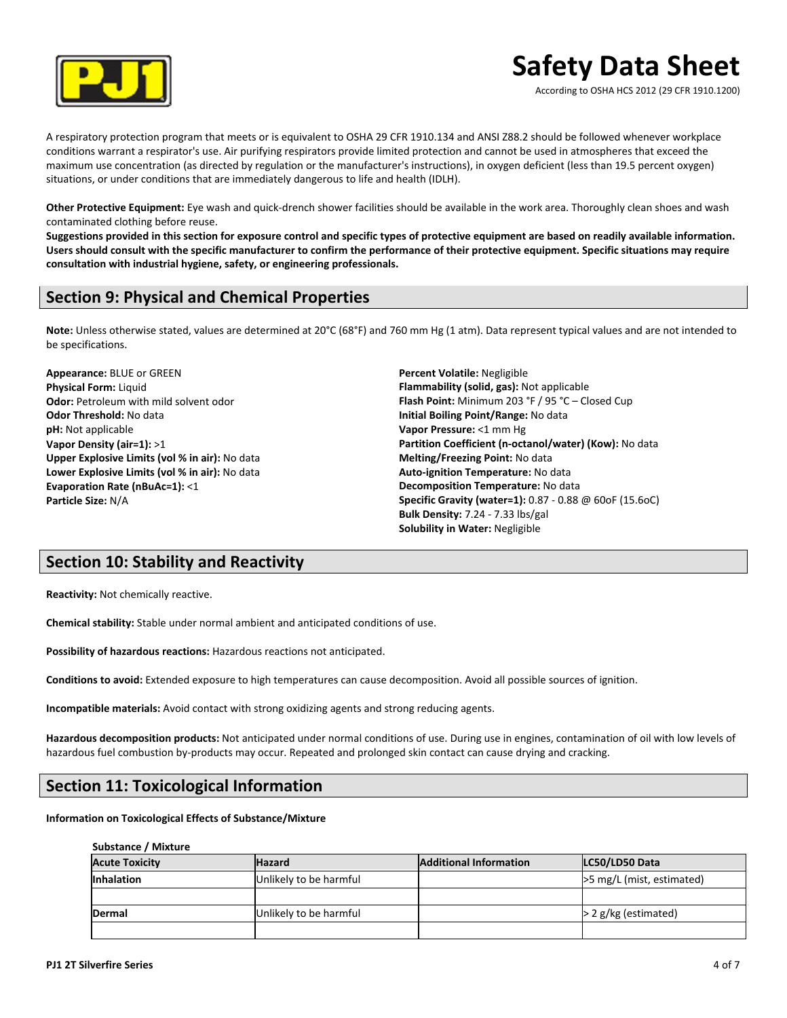

According to OSHA HCS 2012 (29 CFR 1910.1200)

A respiratory protection program that meets or is equivalent to OSHA 29 CFR 1910.134 and ANSI Z88.2 should be followed whenever workplace conditions warrant a respirator's use. Air purifying respirators provide limited protection and cannot be used in atmospheres that exceed the maximum use concentration (as directed by regulation or the manufacturer's instructions), in oxygen deficient (less than 19.5 percent oxygen) situations, or under conditions that are immediately dangerous to life and health (IDLH).

Other Protective Equipment: Eye wash and quick-drench shower facilities should be available in the work area. Thoroughly clean shoes and wash contaminated clothing before reuse.

Suggestions provided in this section for exposure control and specific types of protective equipment are based on readily available information. Users should consult with the specific manufacturer to confirm the performance of their protective equipment. Specific situations may require consultation with industrial hygiene, safety, or engineering professionals.

## **Section 9: Physical and Chemical Properties**

Note: Unless otherwise stated, values are determined at 20°C (68°F) and 760 mm Hg (1 atm). Data represent typical values and are not intended to be specifications.

**Appearance: BLUE or GREEN Physical Form: Liquid Odor:** Petroleum with mild solvent odor **Odor Threshold:** No data **pH:** Not applicable **Vapor Density (air=1):** >1 **Upper Explosive Limits (vol % in air):** No data Lower Explosive Limits (vol % in air): No data **Evaporation Rate (nBuAc=1):** <1 **Particle Size:** N/A

**Percent Volatile:** Negligible **Flammability (solid, gas):** Not applicable **Flash Point:** Minimum 203 °F / 95 °C – Closed Cup **Initial Boiling Point/Range:** No data **Vapor Pressure:** <1 mm Hg Partition Coefficient (n-octanol/water) (Kow): No data **Melting/Freezing Point:** No data **Auto-ignition Temperature:** No data **Decomposition Temperature:** No data **Specific Gravity (water=1):** 0.87 - 0.88 @ 60oF (15.6oC) **Bulk Density:** 7.24 - 7.33 lbs/gal **Solubility in Water: Negligible** 

### **Section 10: Stability and Reactivity**

**Reactivity:** Not chemically reactive.

**Chemical stability:** Stable under normal ambient and anticipated conditions of use.

Possibility of hazardous reactions: Hazardous reactions not anticipated.

**Conditions to avoid:** Extended exposure to high temperatures can cause decomposition. Avoid all possible sources of ignition.

**Incompatible materials:** Avoid contact with strong oxidizing agents and strong reducing agents.

Hazardous decomposition products: Not anticipated under normal conditions of use. During use in engines, contamination of oil with low levels of hazardous fuel combustion by-products may occur. Repeated and prolonged skin contact can cause drying and cracking.

### **Section 11: Toxicological Information**

**Information on Toxicological Effects of Substance/Mixture** 

#### **Substance / Mixture**

| <b>Acute Toxicity</b> | <b>Hazard</b>          | <b>Additional Information</b> | LC50/LD50 Data              |
|-----------------------|------------------------|-------------------------------|-----------------------------|
| <b>Inhalation</b>     | Unlikely to be harmful |                               | $>5$ mg/L (mist, estimated) |
|                       |                        |                               |                             |
| Dermal                | Unlikely to be harmful |                               | $>$ 2 g/kg (estimated)      |
|                       |                        |                               |                             |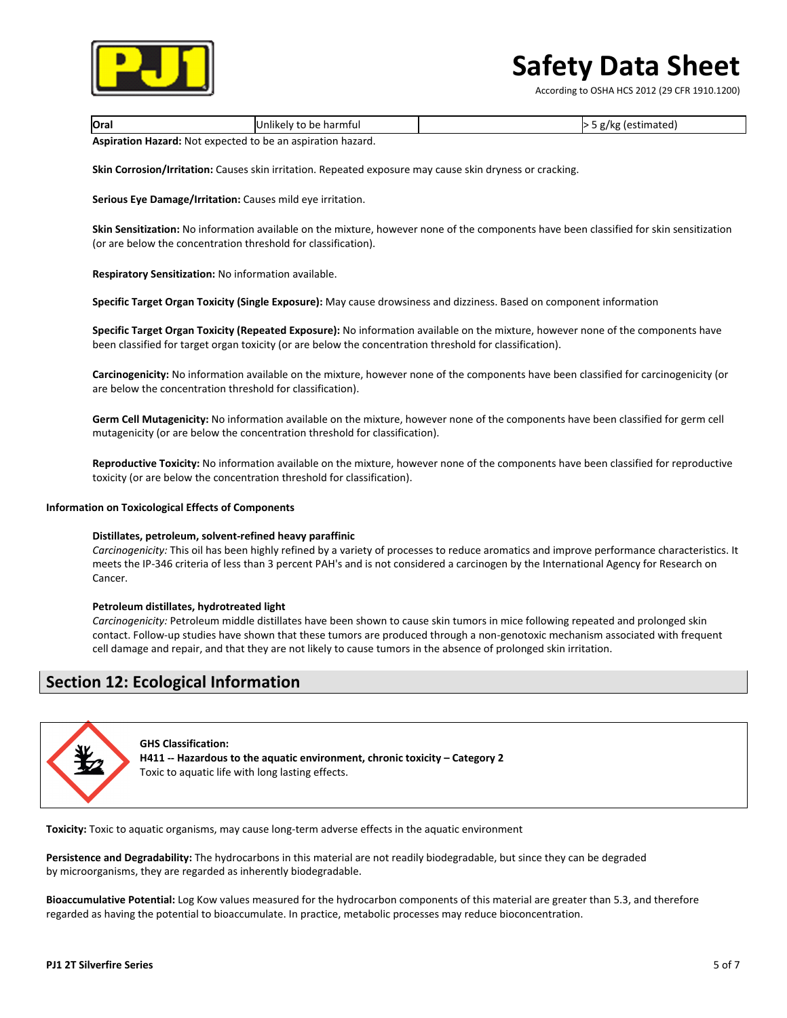

According to OSHA HCS 2012 (29 CFR 1910.1200)

| <b>Oral</b>                                                            | .<br>Unlikely to be harmful |  | g/kg (estimated) |
|------------------------------------------------------------------------|-----------------------------|--|------------------|
| . has been the search. Met a we seeke had be a was seated to a home of |                             |  |                  |

**Aspiration Hazard:** Not expected to be an aspiration hazard.

**Skin Corrosion/Irritation:** Causes skin irritation. Repeated exposure may cause skin dryness or cracking.

**Serious Eye Damage/Irritation:** Causes mild eye irritation.

**Skin Sensitization:** No information available on the mixture, however none of the components have been classified for skin sensitization (or are below the concentration threshold for classification).

**Respiratory Sensitization:** No information available.

**Specific Target Organ Toxicity (Single Exposure):** May cause drowsiness and dizziness. Based on component information

**Specific Target Organ Toxicity (Repeated Exposure):** No information available on the mixture, however none of the components have been classified for target organ toxicity (or are below the concentration threshold for classification).

Carcinogenicity: No information available on the mixture, however none of the components have been classified for carcinogenicity (or are below the concentration threshold for classification).

Germ Cell Mutagenicity: No information available on the mixture, however none of the components have been classified for germ cell mutagenicity (or are below the concentration threshold for classification).

Reproductive Toxicity: No information available on the mixture, however none of the components have been classified for reproductive toxicity (or are below the concentration threshold for classification).

### **Information on Toxicological Effects of Components**

#### **Distillates, petroleum, solvent-refined heavy paraffinic**

Carcinogenicity: This oil has been highly refined by a variety of processes to reduce aromatics and improve performance characteristics. It meets the IP-346 criteria of less than 3 percent PAH's and is not considered a carcinogen by the International Agency for Research on Cancer.

#### **Petroleum distillates, hydrotreated light**

Carcinogenicity: Petroleum middle distillates have been shown to cause skin tumors in mice following repeated and prolonged skin contact. Follow-up studies have shown that these tumors are produced through a non-genotoxic mechanism associated with frequent cell damage and repair, and that they are not likely to cause tumors in the absence of prolonged skin irritation.

### **Section 12: Ecological Information**



**GHS Classification:** H411 -- Hazardous to the aquatic environment, chronic toxicity - Category 2 Toxic to aquatic life with long lasting effects.

**Toxicity:** Toxic to aquatic organisms, may cause long-term adverse effects in the aquatic environment

Persistence and Degradability: The hydrocarbons in this material are not readily biodegradable, but since they can be degraded by microorganisms, they are regarded as inherently biodegradable.

**Bioaccumulative Potential:** Log Kow values measured for the hydrocarbon components of this material are greater than 5.3, and therefore regarded as having the potential to bioaccumulate. In practice, metabolic processes may reduce bioconcentration.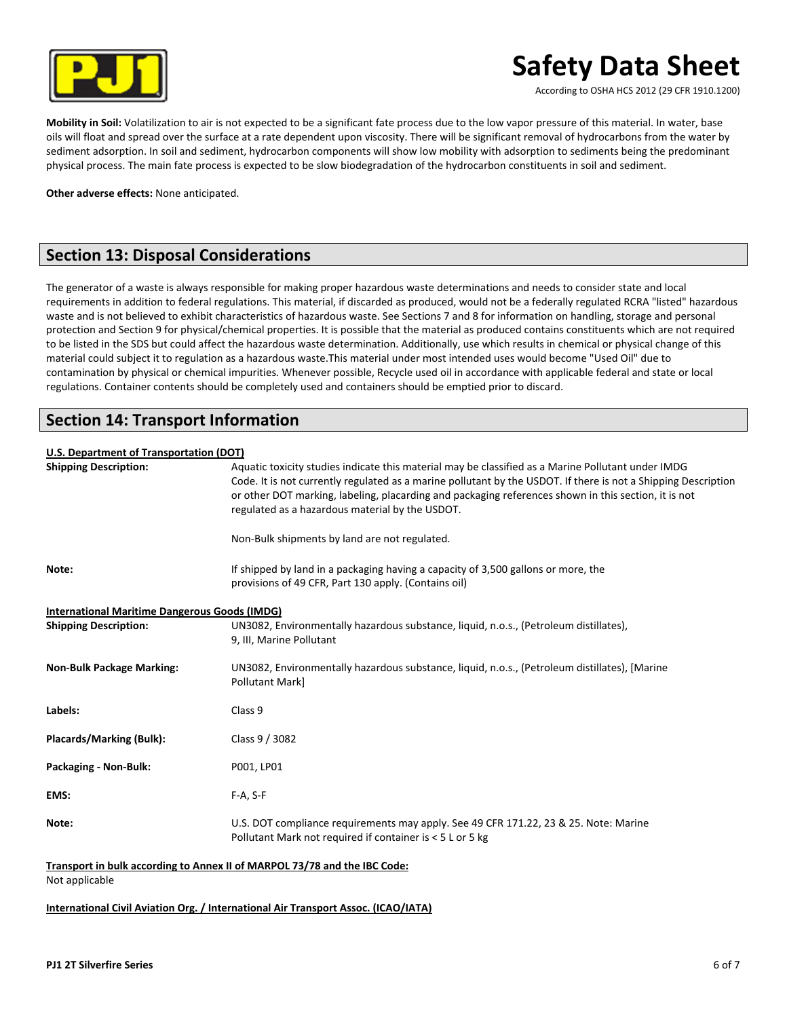

According to OSHA HCS 2012 (29 CFR 1910.1200)

Mobility in Soil: Volatilization to air is not expected to be a significant fate process due to the low vapor pressure of this material. In water, base oils will float and spread over the surface at a rate dependent upon viscosity. There will be significant removal of hydrocarbons from the water by sediment adsorption. In soil and sediment, hydrocarbon components will show low mobility with adsorption to sediments being the predominant physical process. The main fate process is expected to be slow biodegradation of the hydrocarbon constituents in soil and sediment.

**Other adverse effects: None anticipated.** 

## **Section 13: Disposal Considerations**

The generator of a waste is always responsible for making proper hazardous waste determinations and needs to consider state and local requirements in addition to federal regulations. This material, if discarded as produced, would not be a federally regulated RCRA "listed" hazardous waste and is not believed to exhibit characteristics of hazardous waste. See Sections 7 and 8 for information on handling, storage and personal protection and Section 9 for physical/chemical properties. It is possible that the material as produced contains constituents which are not required to be listed in the SDS but could affect the hazardous waste determination. Additionally, use which results in chemical or physical change of this material could subject it to regulation as a hazardous waste.This material under most intended uses would become "Used Oil" due to contamination by physical or chemical impurities. Whenever possible, Recycle used oil in accordance with applicable federal and state or local regulations. Container contents should be completely used and containers should be emptied prior to discard.

## **Section 14: Transport Information**

### **U.S. Department of Transportation (DOT)**

| <b>Shipping Description:</b>                  | Aquatic toxicity studies indicate this material may be classified as a Marine Pollutant under IMDG<br>Code. It is not currently regulated as a marine pollutant by the USDOT. If there is not a Shipping Description<br>or other DOT marking, labeling, placarding and packaging references shown in this section, it is not<br>regulated as a hazardous material by the USDOT. |
|-----------------------------------------------|---------------------------------------------------------------------------------------------------------------------------------------------------------------------------------------------------------------------------------------------------------------------------------------------------------------------------------------------------------------------------------|
|                                               | Non-Bulk shipments by land are not regulated.                                                                                                                                                                                                                                                                                                                                   |
| Note:                                         | If shipped by land in a packaging having a capacity of 3,500 gallons or more, the<br>provisions of 49 CFR, Part 130 apply. (Contains oil)                                                                                                                                                                                                                                       |
| International Maritime Dangerous Goods (IMDG) |                                                                                                                                                                                                                                                                                                                                                                                 |
| <b>Shipping Description:</b>                  | UN3082, Environmentally hazardous substance, liquid, n.o.s., (Petroleum distillates),<br>9, III, Marine Pollutant                                                                                                                                                                                                                                                               |
| <b>Non-Bulk Package Marking:</b>              | UN3082, Environmentally hazardous substance, liquid, n.o.s., (Petroleum distillates), [Marine<br>Pollutant Mark]                                                                                                                                                                                                                                                                |
| Labels:                                       | Class 9                                                                                                                                                                                                                                                                                                                                                                         |
| Placards/Marking (Bulk):                      | Class 9 / 3082                                                                                                                                                                                                                                                                                                                                                                  |
| Packaging - Non-Bulk:                         | P001, LP01                                                                                                                                                                                                                                                                                                                                                                      |
| EMS:                                          | $F-A, S-F$                                                                                                                                                                                                                                                                                                                                                                      |
| Note:                                         | U.S. DOT compliance requirements may apply. See 49 CFR 171.22, 23 & 25. Note: Marine<br>Pollutant Mark not required if container is < 5 L or 5 kg                                                                                                                                                                                                                               |

### Transport in bulk according to Annex II of MARPOL 73/78 and the IBC Code:

Not applicable

**International Civil Aviation Org. / International Air Transport Assoc. (ICAO/IATA)**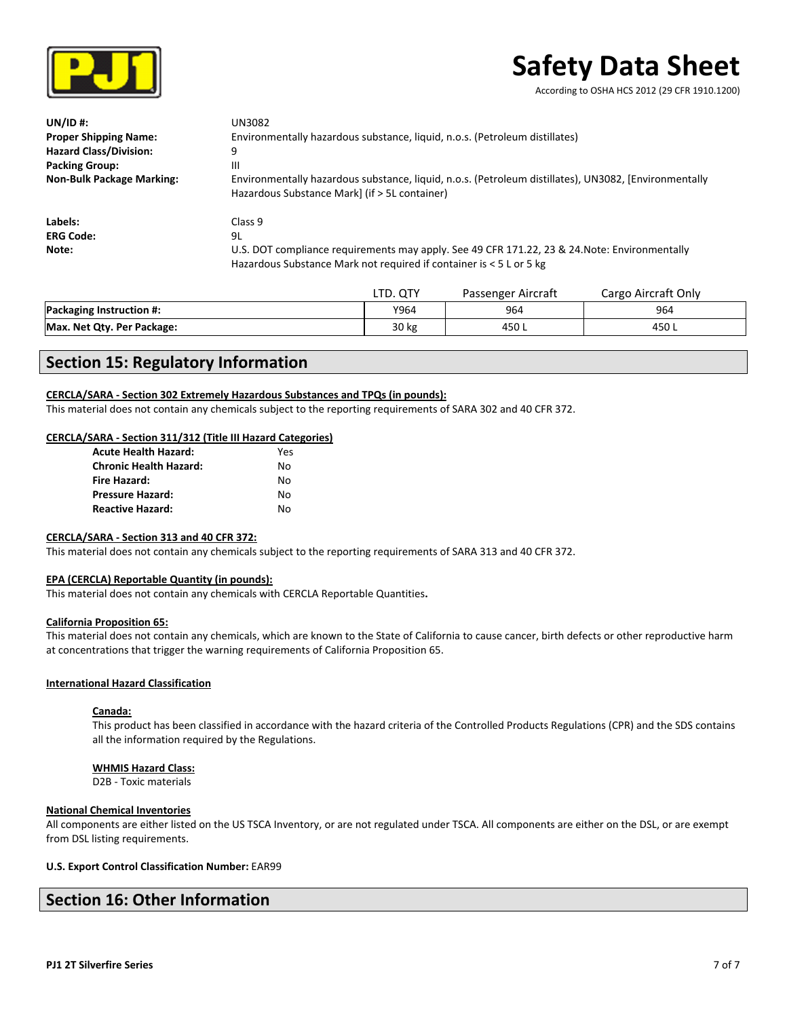

According to OSHA HCS 2012 (29 CFR 1910.1200)

| $UNID$ #:                        | UN3082                                                                                                                                                               |
|----------------------------------|----------------------------------------------------------------------------------------------------------------------------------------------------------------------|
| <b>Proper Shipping Name:</b>     | Environmentally hazardous substance, liquid, n.o.s. (Petroleum distillates)                                                                                          |
| <b>Hazard Class/Division:</b>    | 9                                                                                                                                                                    |
| <b>Packing Group:</b>            | Ш                                                                                                                                                                    |
| <b>Non-Bulk Package Marking:</b> | Environmentally hazardous substance, liquid, n.o.s. (Petroleum distillates), UN3082, [Environmentally<br>Hazardous Substance Mark] (if > 5L container)               |
| Labels:                          | Class <sub>9</sub>                                                                                                                                                   |
| <b>ERG Code:</b>                 | 9L                                                                                                                                                                   |
| Note:                            | U.S. DOT compliance requirements may apply. See 49 CFR 171.22, 23 & 24. Note: Environmentally<br>Hazardous Substance Mark not required if container is < 5 L or 5 kg |

|                                 | LTD. QTY | Passenger Aircraft | Cargo Aircraft Only |
|---------------------------------|----------|--------------------|---------------------|
| <b>Packaging Instruction #:</b> | Y964     | 964                | 964                 |
| Max. Net Qty. Per Package:      | 30 kg    | 450 ւ              | 450 L               |

## **Section 15: Regulatory Information**

### **CERCLA/SARA** - Section 302 Extremely Hazardous Substances and TPQs (in pounds):

This material does not contain any chemicals subject to the reporting requirements of SARA 302 and 40 CFR 372.

### **CERCLA/SARA - Section 311/312 (Title III Hazard Categories)**

| <b>Acute Health Hazard:</b>   | Yes |
|-------------------------------|-----|
| <b>Chronic Health Hazard:</b> | N٥  |
| Fire Hazard:                  | N٥  |
| <b>Pressure Hazard:</b>       | N٥  |
| <b>Reactive Hazard:</b>       | N٥  |

### CERCLA/SARA - Section 313 and 40 CFR 372:

This material does not contain any chemicals subject to the reporting requirements of SARA 313 and 40 CFR 372.

### **EPA (CERCLA) Reportable Quantity (in pounds):**

This material does not contain any chemicals with CERCLA Reportable Quantities.

### **California Proposition 65:**

This material does not contain any chemicals, which are known to the State of California to cause cancer, birth defects or other reproductive harm at concentrations that trigger the warning requirements of California Proposition 65.

### **International Hazard Classification**

### **Canada:**

This product has been classified in accordance with the hazard criteria of the Controlled Products Regulations (CPR) and the SDS contains all the information required by the Regulations.

### **WHMIS Hazard Class:**

D2B - Toxic materials

### **National Chemical Inventories**

All components are either listed on the US TSCA Inventory, or are not regulated under TSCA. All components are either on the DSL, or are exempt from DSL listing requirements.

### **U.S. Export Control Classification Number: EAR99**

### **Section 16: Other Information**